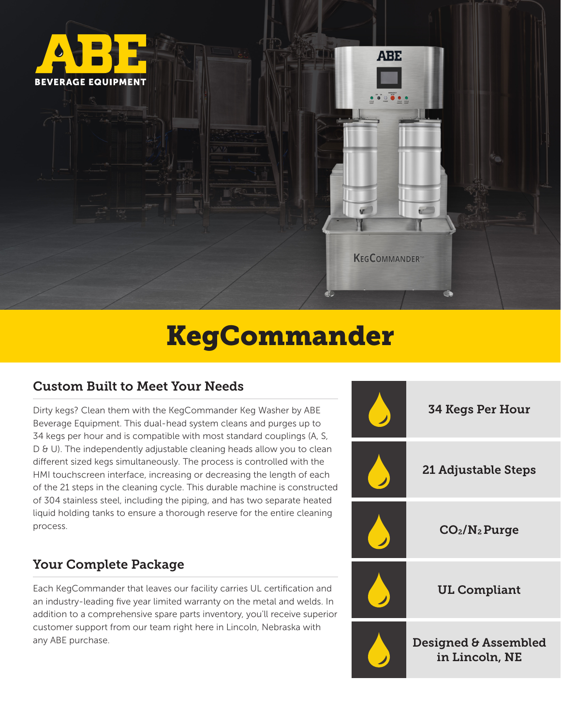

# KegCommander

#### Custom Built to Meet Your Needs

Dirty kegs? Clean them with the KegCommander Keg Washer by ABE Beverage Equipment. This dual-head system cleans and purges up to 34 kegs per hour and is compatible with most standard couplings (A, S, D & U). The independently adjustable cleaning heads allow you to clean different sized kegs simultaneously. The process is controlled with the HMI touchscreen interface, increasing or decreasing the length of each of the 21 steps in the cleaning cycle. This durable machine is constructed of 304 stainless steel, including the piping, and has two separate heated liquid holding tanks to ensure a thorough reserve for the entire cleaning process.

#### Your Complete Package

Each KegCommander that leaves our facility carries UL certification and an industry-leading five year limited warranty on the metal and welds. In addition to a comprehensive spare parts inventory, you'll receive superior customer support from our team right here in Lincoln, Nebraska with any ABE purchase.

| <b>34 Kegs Per Hour</b>                |
|----------------------------------------|
| 21 Adjustable Steps                    |
| CO <sub>2</sub> /N <sub>2</sub> Purge  |
| <b>UL Compliant</b>                    |
| Designed & Assembled<br>in Lincoln, NE |

**ABE** 

**KEGCOMMANDER™**